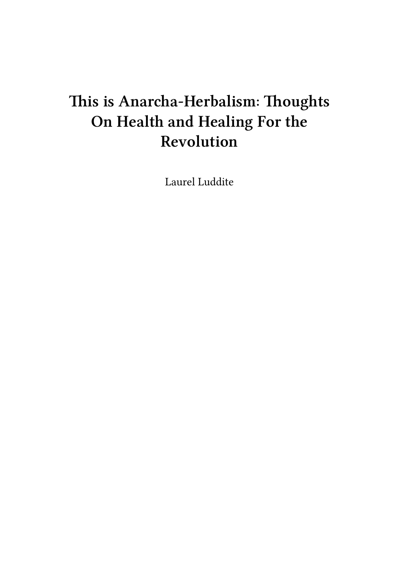# **This is Anarcha-Herbalism: Thoughts On Health and Healing For the Revolution**

Laurel Luddite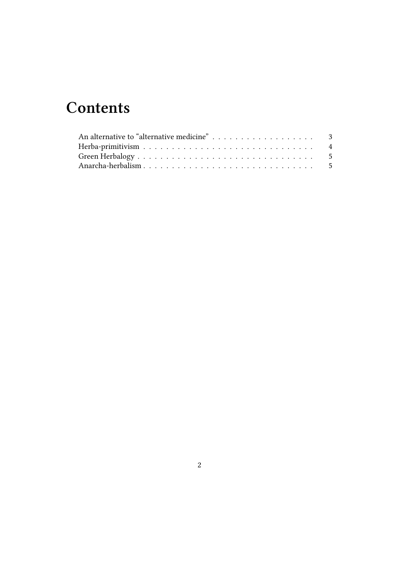# **Contents**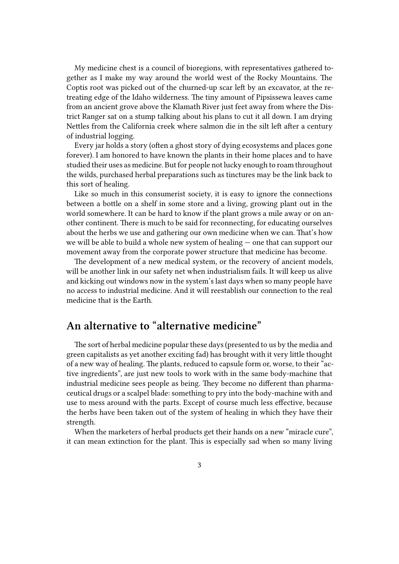My medicine chest is a council of bioregions, with representatives gathered together as I make my way around the world west of the Rocky Mountains. The Coptis root was picked out of the churned-up scar left by an excavator, at the retreating edge of the Idaho wilderness. The tiny amount of Pipsissewa leaves came from an ancient grove above the Klamath River just feet away from where the District Ranger sat on a stump talking about his plans to cut it all down. I am drying Nettles from the California creek where salmon die in the silt left after a century of industrial logging.

Every jar holds a story (often a ghost story of dying ecosystems and places gone forever). I am honored to have known the plants in their home places and to have studied their uses as medicine. But for people not lucky enough to roam throughout the wilds, purchased herbal preparations such as tinctures may be the link back to this sort of healing.

Like so much in this consumerist society, it is easy to ignore the connections between a bottle on a shelf in some store and a living, growing plant out in the world somewhere. It can be hard to know if the plant grows a mile away or on another continent. There is much to be said for reconnecting, for educating ourselves about the herbs we use and gathering our own medicine when we can. That's how we will be able to build a whole new system of healing — one that can support our movement away from the corporate power structure that medicine has become.

The development of a new medical system, or the recovery of ancient models, will be another link in our safety net when industrialism fails. It will keep us alive and kicking out windows now in the system's last days when so many people have no access to industrial medicine. And it will reestablish our connection to the real medicine that is the Earth.

# <span id="page-2-0"></span>**An alternative to "alternative medicine"**

The sort of herbal medicine popular these days (presented to us by the media and green capitalists as yet another exciting fad) has brought with it very little thought of a new way of healing. The plants, reduced to capsule form or, worse, to their "active ingredients", are just new tools to work with in the same body-machine that industrial medicine sees people as being. They become no different than pharmaceutical drugs or a scalpel blade: something to pry into the body-machine with and use to mess around with the parts. Except of course much less effective, because the herbs have been taken out of the system of healing in which they have their strength.

When the marketers of herbal products get their hands on a new "miracle cure", it can mean extinction for the plant. This is especially sad when so many living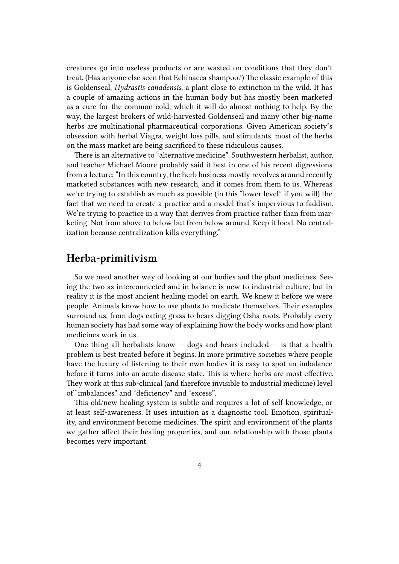creatures go into useless products or are wasted on conditions that they don't treat. (Has anyone else seen that Echinacea shampoo?) The classic example of this is Goldenseal, *Hydrastis canadensis*, a plant close to extinction in the wild. It has a couple of amazing actions in the human body but has mostly been marketed as a cure for the common cold, which it will do almost nothing to help. By the way, the largest brokers of wild-harvested Goldenseal and many other big-name herbs are multinational pharmaceutical corporations. Given American society's obsession with herbal Viagra, weight loss pills, and stimulants, most of the herbs on the mass market are being sacrificed to these ridiculous causes.

There is an alternative to "alternative medicine". Southwestern herbalist, author, and teacher Michael Moore probably said it best in one of his recent digressions from a lecture: "In this country, the herb business mostly revolves around recently marketed substances with new research, and it comes from them to us. Whereas we're trying to establish as much as possible (in this "lower level" if you will) the fact that we need to create a practice and a model that's impervious to faddism. We're trying to practice in a way that derives from practice rather than from marketing. Not from above to below but from below around. Keep it local. No centralization because centralization kills everything."

#### **Herba-primitivism**

So we need another way of looking at our bodies and the plant medicines. Seeing the two as interconnected and in balance is new to industrial culture, but in reality it is the most ancient healing model on earth. We knew it before we were people. Animals know how to use plants to medicate themselves. Their examples surround us, from dogs eating grass to bears digging Osha roots. Probably every human society has had some way of explaining how the body works and how plant medicines work in us.

One thing all herbalists know  $-$  dogs and bears included  $-$  is that a health problem is best treated before it begins. In more primitive societies where people have the luxury of listening to their own bodies it is easy to spot an imbalance before it turns into an acute disease state. This is where herbs are most effective. They work at this sub-clinical (and therefore invisible to industrial medicine) level of "imbalances" and "deficiency" and "excess".

This old/new healing system is subtle and requires a lot of self-knowledge, or at least self-awareness. It uses intuition as a diagnostic tool. Emotion, spirituality, and environment become medicines. The spirit and environment of the plants we gather affect their healing properties, and our relationship with those plants becomes very important.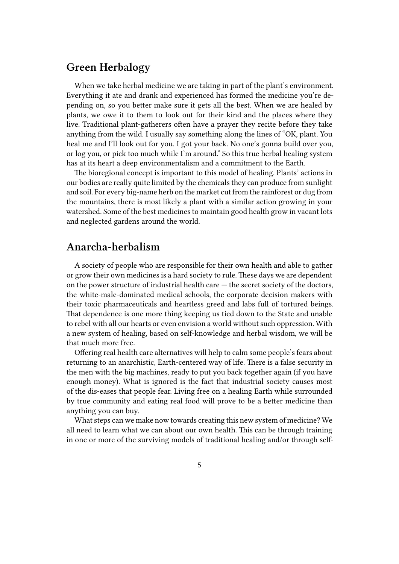# **Green Herbalogy**

When we take herbal medicine we are taking in part of the plant's environment. Everything it ate and drank and experienced has formed the medicine you're depending on, so you better make sure it gets all the best. When we are healed by plants, we owe it to them to look out for their kind and the places where they live. Traditional plant-gatherers often have a prayer they recite before they take anything from the wild. I usually say something along the lines of "OK, plant. You heal me and I'll look out for you. I got your back. No one's gonna build over you, or log you, or pick too much while I'm around." So this true herbal healing system has at its heart a deep environmentalism and a commitment to the Earth.

The bioregional concept is important to this model of healing. Plants' actions in our bodies are really quite limited by the chemicals they can produce from sunlight and soil. For every big-name herb on the market cut from the rainforest or dug from the mountains, there is most likely a plant with a similar action growing in your watershed. Some of the best medicines to maintain good health grow in vacant lots and neglected gardens around the world.

### **Anarcha-herbalism**

A society of people who are responsible for their own health and able to gather or grow their own medicines is a hard society to rule. These days we are dependent on the power structure of industrial health care — the secret society of the doctors, the white-male-dominated medical schools, the corporate decision makers with their toxic pharmaceuticals and heartless greed and labs full of tortured beings. That dependence is one more thing keeping us tied down to the State and unable to rebel with all our hearts or even envision a world without such oppression. With a new system of healing, based on self-knowledge and herbal wisdom, we will be that much more free.

Offering real health care alternatives will help to calm some people's fears about returning to an anarchistic, Earth-centered way of life. There is a false security in the men with the big machines, ready to put you back together again (if you have enough money). What is ignored is the fact that industrial society causes most of the dis-eases that people fear. Living free on a healing Earth while surrounded by true community and eating real food will prove to be a better medicine than anything you can buy.

What steps can we make now towards creating this new system of medicine? We all need to learn what we can about our own health. This can be through training in one or more of the surviving models of traditional healing and/or through self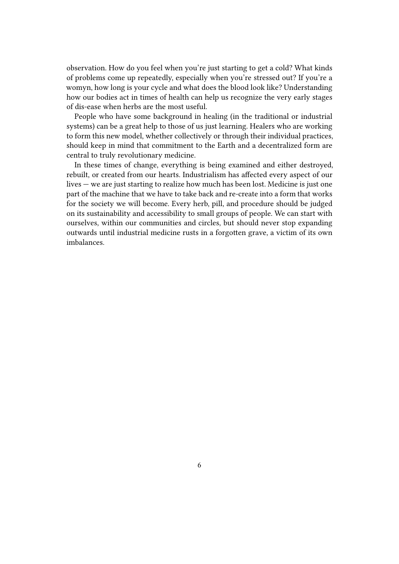observation. How do you feel when you're just starting to get a cold? What kinds of problems come up repeatedly, especially when you're stressed out? If you're a womyn, how long is your cycle and what does the blood look like? Understanding how our bodies act in times of health can help us recognize the very early stages of dis-ease when herbs are the most useful.

People who have some background in healing (in the traditional or industrial systems) can be a great help to those of us just learning. Healers who are working to form this new model, whether collectively or through their individual practices, should keep in mind that commitment to the Earth and a decentralized form are central to truly revolutionary medicine.

In these times of change, everything is being examined and either destroyed, rebuilt, or created from our hearts. Industrialism has affected every aspect of our lives — we are just starting to realize how much has been lost. Medicine is just one part of the machine that we have to take back and re-create into a form that works for the society we will become. Every herb, pill, and procedure should be judged on its sustainability and accessibility to small groups of people. We can start with ourselves, within our communities and circles, but should never stop expanding outwards until industrial medicine rusts in a forgotten grave, a victim of its own imbalances.